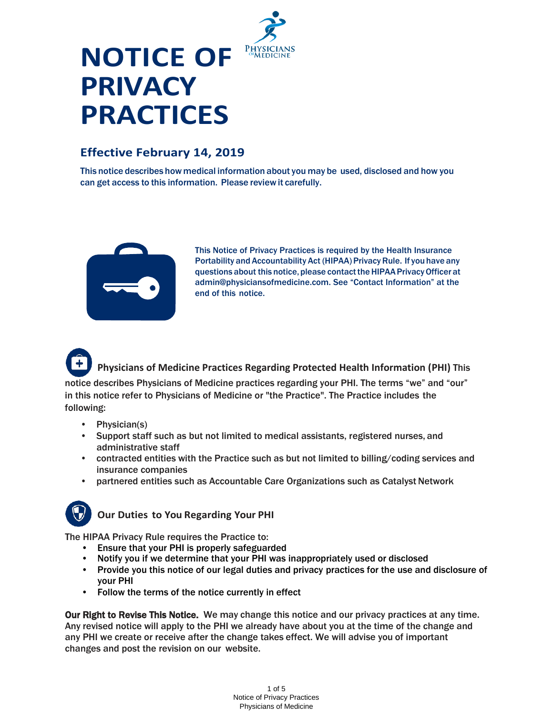

# **NOTICE OF PRIVACY PRACTICES**

### **Effective February 14, 2019**

This notice describes how medical information about you may be used, disclosed and how you can get access to this information. Please reviewit carefully.



This Notice of Privacy Practices is required by the Health Insurance Portability and Accountability Act (HIPAA) Privacy Rule. If you have any questions about this notice, please contact the HIPAA Privacy Officer at [admin@physiciansofmedicine.com.](mailto:admin@physiciansofmedicine.com) See "Contact Information" at the end of this notice.



**Physicians of Medicine Practices Regarding Protected Health Information (PHI)** This

notice describes Physicians of Medicine practices regarding your PHI. The terms "we" and "our" in this notice refer to Physicians of Medicine or "the Practice". The Practice includes the following:

- Physician(s)
- Support staff such as but not limited to medical assistants, registered nurses, and administrative staff
- contracted entities with the Practice such as but not limited to billing/coding services and insurance companies
- partnered entities such as Accountable Care Organizations such as Catalyst Network



**Our Duties to You Regarding Your PHI**

The HIPAA Privacy Rule requires the Practice to:

- Ensure that your PHI is properly safeguarded
- Notify you if we determine that your PHI was inappropriately used or disclosed
- Provide you this notice of our legal duties and privacy practices for the use and disclosure of your PHI
- Follow the terms of the notice currently in effect

Our Right to Revise This Notice. We may change this notice and our privacy practices at any time. Any revised notice will apply to the PHI we already have about you at the time of the change and any PHI we create or receive after the change takes effect. We will advise you of important changes and post the revision on our website.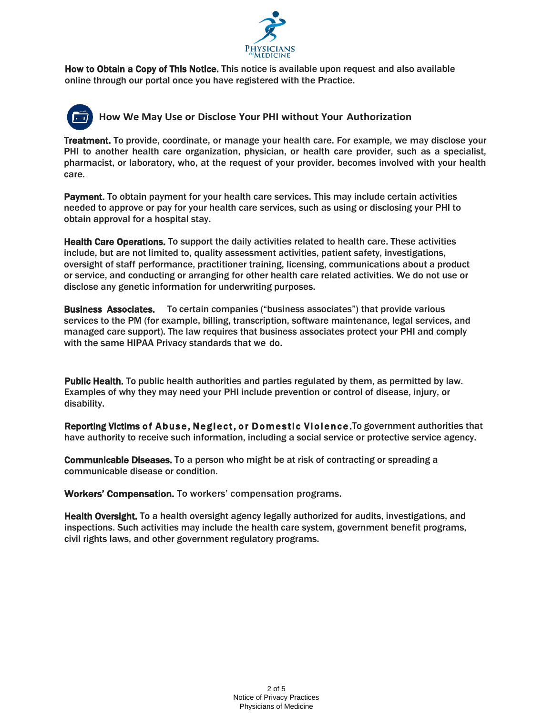

How to Obtain a Copy of This Notice. This notice is available upon request and also available online through our portal once you have registered with the Practice.

## **How We May Use or Disclose Your PHI without Your Authorization**

Treatment. To provide, coordinate, or manage your health care. For example, we may disclose your PHI to another health care organization, physician, or health care provider, such as a specialist, pharmacist, or laboratory, who, at the request of your provider, becomes involved with your health care.

Payment. To obtain payment for your health care services. This may include certain activities needed to approve or pay for your health care services, such as using or disclosing your PHI to obtain approval for a hospital stay.

Health Care Operations. To support the daily activities related to health care. These activities include, but are not limited to, quality assessment activities, patient safety, investigations, oversight of staff performance, practitioner training, licensing, communications about a product or service, and conducting or arranging for other health care related activities. We do not use or disclose any genetic information for underwriting purposes.

Business Associates. To certain companies ("business associates") that provide various services to the PM (for example, billing, transcription, software maintenance, legal services, and managed care support). The law requires that business associates protect your PHI and comply with the same HIPAA Privacy standards that we do.

Public Health. To public health authorities and parties regulated by them, as permitted by law. Examples of why they may need your PHI include prevention or control of disease, injury, or disability.

Reporting Victims of Abuse, Neglect, or Domestic Violence. To government authorities that have authority to receive such information, including a social service or protective service agency.

Communicable Diseases. To a person who might be at risk of contracting or spreading a communicable disease or condition.

Workers' Compensation. To workers' compensation programs.

Health Oversight. To a health oversight agency legally authorized for audits, investigations, and inspections. Such activities may include the health care system, government benefit programs, civil rights laws, and other government regulatory programs.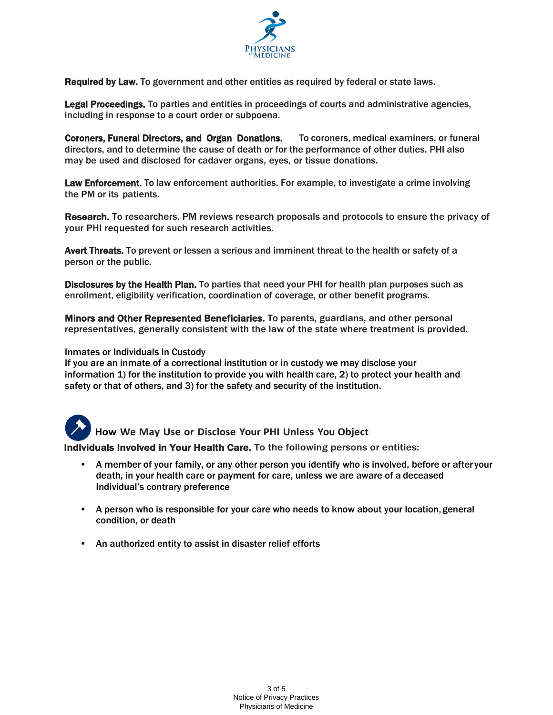

Required by Law. To government and other entities as required by federal or state laws.

Legal Proceedings. To parties and entities in proceedings of courts and administrative agencies, including in response to a court order or subpoena.

Coroners, Funeral Directors, and Organ Donations. To coroners, medical examiners, or funeral directors, and to determine the cause of death or for the performance of other duties. PHI also may be used and disclosed for cadaver organs, eyes, or tissue donations.

Law Enforcement. To law enforcement authorities. For example, to investigate a crime involving the PM or its patients.

Research. To researchers. PM reviews research proposals and protocols to ensure the privacy of your PHI requested for such research activities.

Avert Threats. To prevent or lessen a serious and imminent threat to the health or safety of a person or the public.

Disclosures by the Health Plan. To parties that need your PHI for health plan purposes such as enrollment, eligibility verification, coordination of coverage, or other benefit programs.

Minors and Other Represented Beneficiaries. To parents, guardians, and other personal representatives, generally consistent with the law of the state where treatment is provided.

#### Inmates or Individuals in Custody

If you are an inmate of a correctional institution or in custody we may disclose your information 1) for the institution to provide you with health care, 2) to protect your health and safety or that of others, and 3) for the safety and security of the institution.



**How We May Use or Disclose Your PHI Unless You Object**

Individuals Involved in Your Health Care. To the following persons or entities:

- A member of your family, or any other person you identify who is involved, before or after your death, in your health care or payment for care, unless we are aware of a deceased Individual's contrary preference
- A person who is responsible for your care who needs to know about your location, general condition, or death
- An authorized entity to assist in disaster relief efforts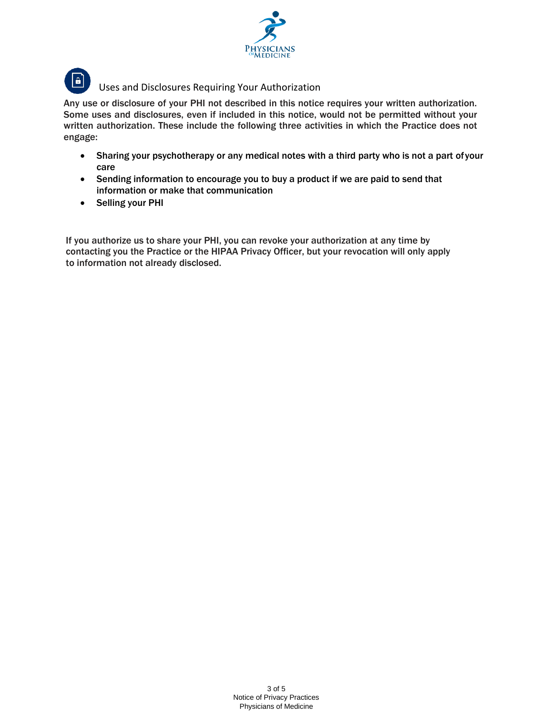



Any use or disclosure of your PHI not described in this notice requires your written authorization. Some uses and disclosures, even if included in this notice, would not be permitted without your written authorization. These include the following three activities in which the Practice does not engage:

- Sharing your psychotherapy or any medical notes with a third party who is not a part ofyour care
- Sending information to encourage you to buy a product if we are paid to send that information or make that communication
- Selling your PHI

If you authorize us to share your PHI, you can revoke your authorization at any time by contacting you the Practice or the HIPAA Privacy Officer, but your revocation will only apply to information not already disclosed.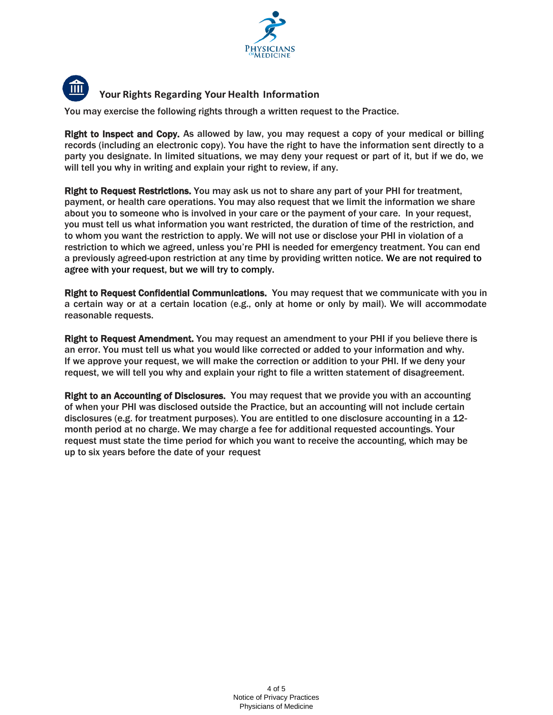



You may exercise the following rights through a written request to the Practice.

Right to Inspect and Copy. As allowed by law, you may request a copy of your medical or billing records (including an electronic copy). You have the right to have the information sent directly to a party you designate. In limited situations, we may deny your request or part of it, but if we do, we will tell you why in writing and explain your right to review, if any.

Right to Request Restrictions. You may ask us not to share any part of your PHI for treatment, payment, or health care operations. You may also request that we limit the information we share about you to someone who is involved in your care or the payment of your care. In your request, you must tell us what information you want restricted, the duration of time of the restriction, and to whom you want the restriction to apply. We will not use or disclose your PHI in violation of a restriction to which we agreed, unless you're PHI is needed for emergency treatment. You can end a previously agreed-upon restriction at any time by providing written notice. We are not required to agree with your request, but we will try to comply.

Right to Request Confidential Communications. You may request that we communicate with you in a certain way or at a certain location (e.g., only at home or only by mail). We will accommodate reasonable requests.

Right to Request Amendment. You may request an amendment to your PHI if you believe there is an error. You must tell us what you would like corrected or added to your information and why. If we approve your request, we will make the correction or addition to your PHI. If we deny your request, we will tell you why and explain your right to file a written statement of disagreement.

Right to an Accounting of Disclosures. You may request that we provide you with an accounting of when your PHI was disclosed outside the Practice, but an accounting will not include certain disclosures (e.g. for treatment purposes). You are entitled to one disclosure accounting in a 12 month period at no charge. We may charge a fee for additional requested accountings. Your request must state the time period for which you want to receive the accounting, which may be up to six years before the date of your request